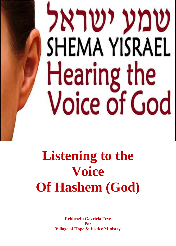# שמע ישראל SHEMA YISRAEL Hearing the **Voice of God**

## **Listening to the Voice Of Hashem (God)**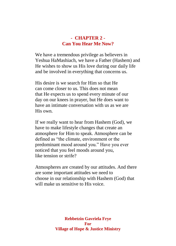#### **- CHAPTER 2 - Can You Hear Me Now?**

We have a tremendous privilege as believers in Yeshua HaMashiach, we have a Father (Hashem) and He wishes to show us His love during our daily life and be involved in everything that concerns us.

His desire is we search for Him so that He can come closer to us. This does not mean that He expects us to spend every minute of our day on our knees in prayer, but He does want to have an intimate conversation with us as we are His own.

If we really want to hear from Hashem (God), we have to make lifestyle changes that create an atmosphere for Him to speak. Atmosphere can be defined as "the climate, environment or the predominant mood around you." Have you ever noticed that you feel moods around you, like tension or strife?

Atmospheres are created by our attitudes. And there are some important attitudes we need to choose in our relationship with Hashem (God) that will make us sensitive to His voice.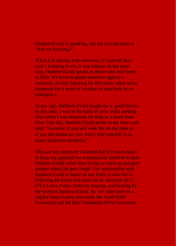Hashem (God) is speaking, but the real question is, "Are we listening?"

When I'm talking with someone, if I can tell they aren't listening to me, I stop talking. In the same way, Hashem (God) speaks to those who will listen to Him. We have to guard ourselves against a mentality of only listening for His voice when we're desperate for a word of wisdom or need help in an emergency.

Years ago, HaShem (God) taught me a good lesson In this area. I was in the habit of only really seeking Him when I was desperate for help or a word from Him. One day, Hashem (God) spoke to my heart and said, "Gavriela, if you will seek Me all the time as if you are desperate, you won't find yourself in as many desperate situations."

This got my attention! I learned that it's much easier to keep my spiritual ear continuously tuned in to hear Hashem (God) rather than trying to catch up and gain ground when life gets rough. Our relationship with Hashem (God) is based on our Faith in who He is, believing He loves and cares for us. Romans 10:17 (TLV) says, Faith comes by hearing, and hearing by the word of Hashem (God). As we take time on a regular basis to pray and study the Torah (Old Covenant) and the Brit Chadashah (New Covenant),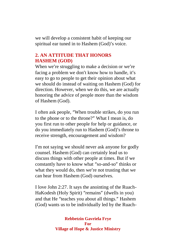we will develop a consistent habit of keeping our spiritual ear tuned in to Hashem (God)'s voice.

### **2. AN ATTITUDE THAT HONORS HASHEM (GOD)**

When we're struggling to make a decision or we're facing a problem we don't know how to handle, it's easy to go to people to get their opinion about what we should do instead of waiting on Hashem (God) for direction. However, when we do this, we are actually honoring the advice of people more than the wisdom of Hashem (God).

I often ask people, "When trouble strikes, do you run to the phone or to the throne?" What I mean is, do you first run to other people for help or guidance, or do you immediately run to Hashem (God)'s throne to receive strength, encouragement and wisdom?

I'm not saying we should never ask anyone for godly counsel. Hashem (God) can certainly lead us to discuss things with other people at times. But if we constantly have to know what "so-and-so" thinks or what they would do, then we're not trusting that we can hear from Hashem (God) ourselves.

I love John 2:27. It says the anointing of the Ruach-HaKodesh (Holy Spirit) "remains" (dwells in you) and that He "teaches you about all things." Hashem (God) wants us to be individually led by the Ruach-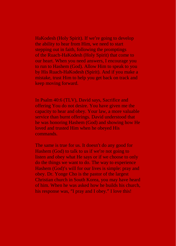HaKodesh (Holy Spirit). If we're going to develop the ability to hear from Him, we need to start stepping out in faith, following the promptings of the Ruach-HaKodesh (Holy Spirit) that come to our heart. When you need answers, I encourage you to run to Hashem (God). Allow Him to speak to you by His Ruach-HaKodesh (Spirit). And if you make a mistake, trust Him to help you get back on track and keep moving forward.

In Psalm 40:6 (TLV), David says, Sacrifice and offering You do not desire. You have given me the capacity to hear and obey. Your law, a more valuable service than burnt offerings. David understood that he was honoring Hashem (God) and showing how He loved and trusted Him when he obeyed His commands.

The same is true for us. It doesn't do any good for Hashem (God) to talk to us if we're not going to listen and obey what He says or if we choose to only do the things we want to do. The way to experience Hashem (God)'s will for our lives is simple: pray and obey. Dr. Yonge Cho is the pastor of the largest Christian church in South Korea, you may have heard of him. When he was asked how he builds his church, his response was, "I pray and I obey." I love this!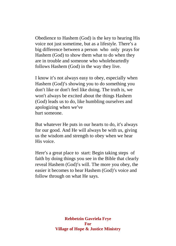Obedience to Hashem (God) is the key to hearing His voice not just sometime, but as a lifestyle. There's a big difference between a person who only prays for Hashem (God) to show them what to do when they are in trouble and someone who wholeheartedly follows Hashem (God) in the way they live.

I know it's not always easy to obey, especially when Hashem (God)'s showing you to do something you don't like or don't feel like doing. The truth is, we won't always be excited about the things Hashem (God) leads us to do, like humbling ourselves and apologizing when we've hurt someone.

But whatever He puts in our hearts to do, it's always for our good. And He will always be with us, giving us the wisdom and strength to obey when we hear His voice.

Here's a great place to start: Begin taking steps of faith by doing things you see in the Bible that clearly reveal Hashem (God)'s will. The more you obey, the easier it becomes to hear Hashem (God)'s voice and follow through on what He says.